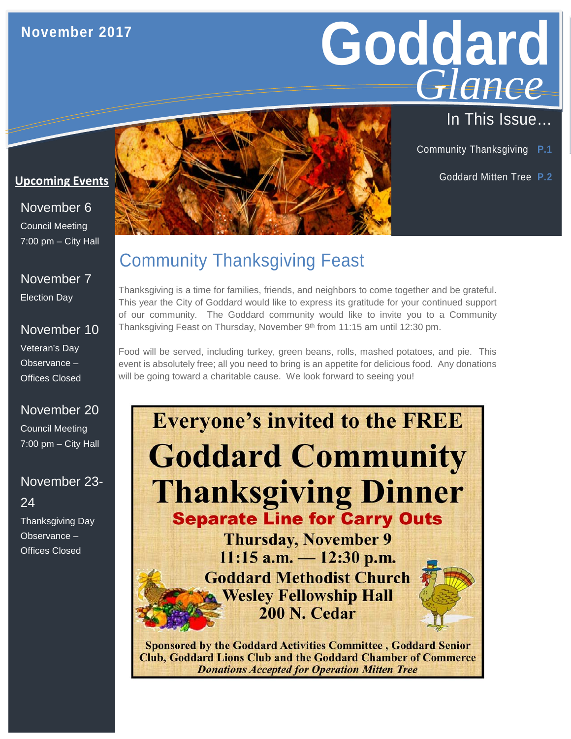# Ffgfghfhf **November 2017**

# **Goddard** *Glance*

# In This Issue…

Community Thanksgiving **P.1**

Goddard Mitten Tree **P.2**

#### **Upcoming Events**

## November 6 Council Meeting 7:00 pm – City Hall

November 7

Election Day

## November 10

Observance – Veteran's Day Offices Closed

# November 20

Council Meeting 7:00 pm – City Hall

# November 23- 24

Thanksgiving Day Observance – Offices Closed

# Community Thanksgiving Feast

Thanksgiving is a time for families, friends, and neighbors to come together and be grateful. This year the City of Goddard would like to express its gratitude for your continued support of our community. The Goddard community would like to invite you to a Community Thanksgiving Feast on Thursday, November 9th from 11:15 am until 12:30 pm.

Food will be served, including turkey, green beans, rolls, mashed potatoes, and pie. This event is absolutely free; all you need to bring is an appetite for delicious food. Any donations will be going toward a charitable cause. We look forward to seeing you!



**Sponsored by the Goddard Activities Committee, Goddard Senior Club, Goddard Lions Club and the Goddard Chamber of Commerce Donations Accepted for Operation Mitten Tree**